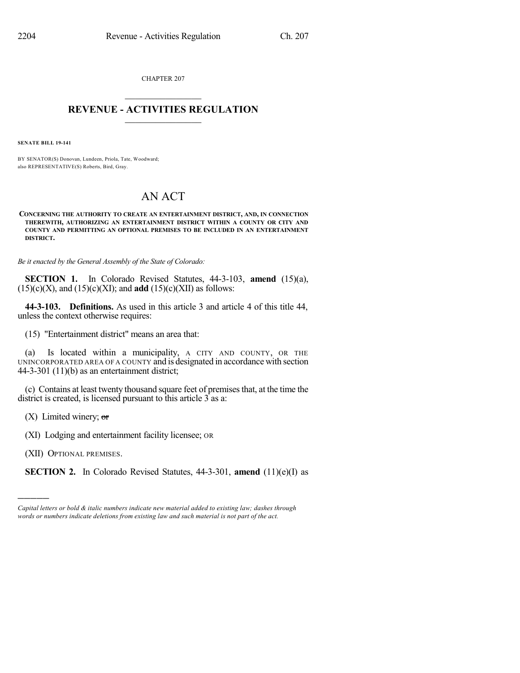CHAPTER 207  $\mathcal{L}_\text{max}$  . The set of the set of the set of the set of the set of the set of the set of the set of the set of the set of the set of the set of the set of the set of the set of the set of the set of the set of the set

## **REVENUE - ACTIVITIES REGULATION**  $\_$   $\_$   $\_$   $\_$   $\_$   $\_$   $\_$   $\_$

**SENATE BILL 19-141**

BY SENATOR(S) Donovan, Lundeen, Priola, Tate, Woodward; also REPRESENTATIVE(S) Roberts, Bird, Gray.

## AN ACT

**CONCERNING THE AUTHORITY TO CREATE AN ENTERTAINMENT DISTRICT, AND, IN CONNECTION THEREWITH, AUTHORIZING AN ENTERTAINMENT DISTRICT WITHIN A COUNTY OR CITY AND COUNTY AND PERMITTING AN OPTIONAL PREMISES TO BE INCLUDED IN AN ENTERTAINMENT DISTRICT.**

*Be it enacted by the General Assembly of the State of Colorado:*

**SECTION 1.** In Colorado Revised Statutes, 44-3-103, **amend** (15)(a),  $(15)(c)(X)$ , and  $(15)(c)(XI)$ ; and **add**  $(15)(c)(XII)$  as follows:

**44-3-103. Definitions.** As used in this article 3 and article 4 of this title 44, unless the context otherwise requires:

(15) "Entertainment district" means an area that:

(a) Is located within a municipality, A CITY AND COUNTY, OR THE UNINCORPORATED AREA OF A COUNTY and is designated in accordance with section 44-3-301 (11)(b) as an entertainment district;

(c) Contains at least twenty thousand square feet of premisesthat, at the time the district is created, is licensed pursuant to this article  $\overline{3}$  as a:

 $(X)$  Limited winery; or

(XI) Lodging and entertainment facility licensee; OR

(XII) OPTIONAL PREMISES.

)))))

**SECTION 2.** In Colorado Revised Statutes, 44-3-301, **amend** (11)(e)(I) as

*Capital letters or bold & italic numbers indicate new material added to existing law; dashes through words or numbers indicate deletions from existing law and such material is not part of the act.*